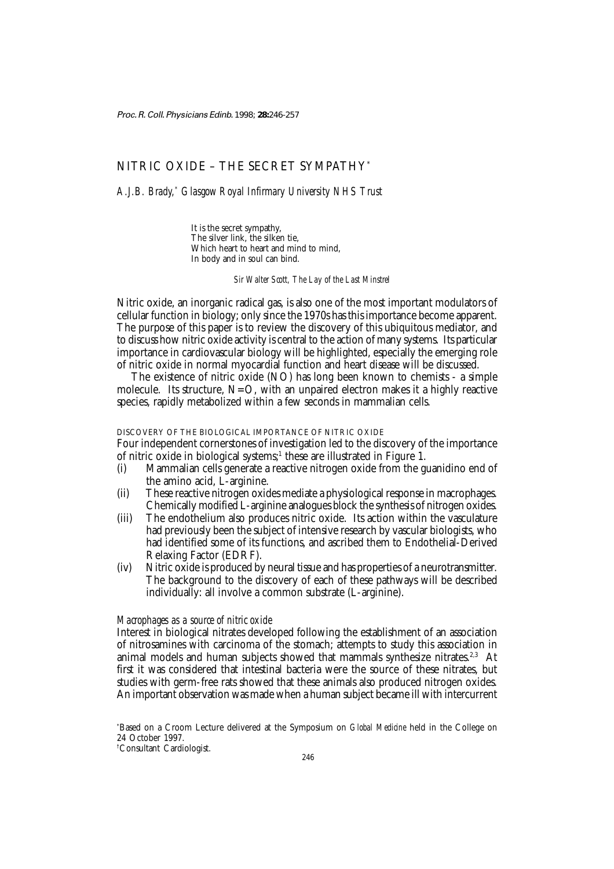Proc. R. Coll. Physicians Edinb. 1998; **28:**246-257

# NITRIC OXIDE – THE SECRET SYMPATHY\*

*A.J.B. Brady,\* Glasgow Royal Infirmary University NHS Trust*

It is the secret sympathy, The silver link, the silken tie, Which heart to heart and mind to mind, In body and in soul can bind.

*Sir Walter Scott, The Lay of the Last Minstrel*

Nitric oxide, an inorganic radical gas, is also one of the most important modulators of cellular function in biology; only since the 1970s has this importance become apparent. The purpose of this paper is to review the discovery of this ubiquitous mediator, and to discuss how nitric oxide activity is central to the action of many systems. Its particular importance in cardiovascular biology will be highlighted, especially the emerging role of nitric oxide in normal myocardial function and heart disease will be discussed.

The existence of nitric oxide (NO) has long been known to chemists - a simple molecule. Its structure, N=O, with an unpaired electron makes it a highly reactive species, rapidly metabolized within a few seconds in mammalian cells.

### DISCOVERY OF THE BIOLOGICAL IMPORTANCE OF NITRIC OXIDE

Four independent cornerstones of investigation led to the discovery of the importance of nitric oxide in biological systems;<sup>1</sup> these are illustrated in Figure 1.

- (i) Mammalian cells generate a reactive nitrogen oxide from the guanidino end of the amino acid, L-arginine.
- (ii) These reactive nitrogen oxides mediate a physiological response in macrophages. Chemically modified L-arginine analogues block the synthesis of nitrogen oxides.
- (iii) The endothelium also produces nitric oxide. Its action within the vasculature had previously been the subject of intensive research by vascular biologists, who had identified some of its functions, and ascribed them to Endothelial-Derived Relaxing Factor (EDRF).
- (iv) Nitric oxide is produced by neural tissue and has properties of a neurotransmitter. The background to the discovery of each of these pathways will be described individually: all involve a common substrate (L-arginine).

## *Macrophages as a source of nitric oxide*

Interest in biological nitrates developed following the establishment of an association of nitrosamines with carcinoma of the stomach; attempts to study this association in animal models and human subjects showed that mammals synthesize nitrates.<sup>2,3</sup> At first it was considered that intestinal bacteria were the source of these nitrates, but studies with germ-free rats showed that these animals also produced nitrogen oxides. An important observation was made when a human subject became ill with intercurrent

† Consultant Cardiologist.

<sup>\*</sup> Based on a Croom Lecture delivered at the Symposium on *Global Medicine* held in the College on 24 October 1997.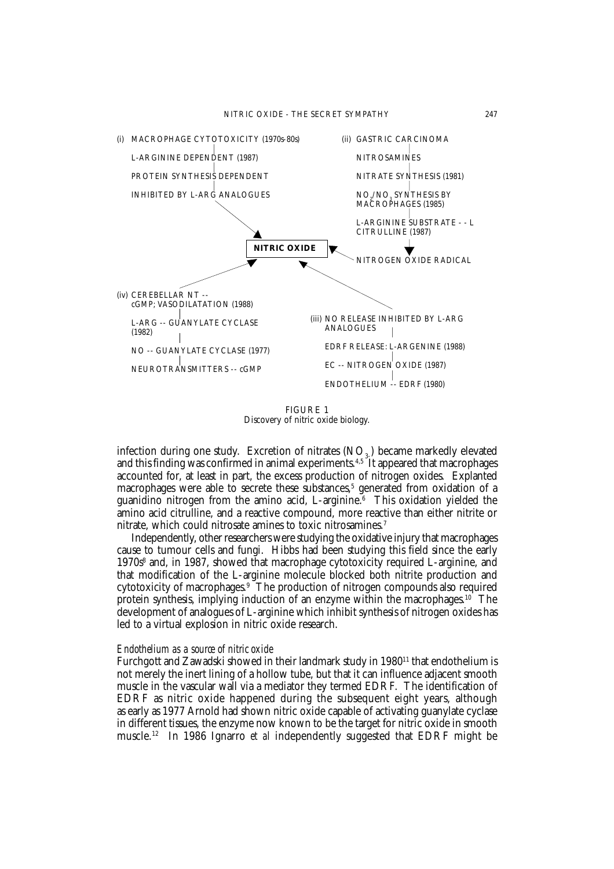NITRIC OXIDE - THE SECRET SYMPATHY 247



FIGURE 1 Discovery of nitric oxide biology.

infection during one study. Excretion of nitrates  $(\text{NO}_3)$  became markedly elevated and this finding was confirmed in animal experiments.<sup>4,5</sup> It appeared that macrophages accounted for, at least in part, the excess production of nitrogen oxides. Explanted macrophages were able to secrete these substances,<sup>5</sup> generated from oxidation of a guanidino nitrogen from the amino acid, L-arginine.<sup>6</sup> This oxidation yielded the amino acid citrulline, and a reactive compound, more reactive than either nitrite or nitrate, which could nitrosate amines to toxic nitrosamines.7

Independently, other researchers were studying the oxidative injury that macrophages cause to tumour cells and fungi. Hibbs had been studying this field since the early 1970s<sup>8</sup> and, in 1987, showed that macrophage cytotoxicity required L-arginine, and that modification of the L-arginine molecule blocked both nitrite production and cytotoxicity of macrophages. $^9\,$  The production of nitrogen compounds also required protein synthesis, implying induction of an enzyme within the macrophages.<sup>10</sup> The development of analogues of L-arginine which inhibit synthesis of nitrogen oxides has led to a virtual explosion in nitric oxide research.

## *Endothelium as a source of nitric oxide*

Furchgott and Zawadski showed in their landmark study in 1980<sup>11</sup> that endothelium is not merely the inert lining of a hollow tube, but that it can influence adjacent smooth muscle in the vascular wall via a mediator they termed EDRF. The identification of EDRF as nitric oxide happened during the subsequent eight years, although as early as 1977 Arnold had shown nitric oxide capable of activating guanylate cyclase in different tissues, the enzyme now known to be the target for nitric oxide in smooth muscle.12 In 1986 Ignarro *et al* independently suggested that EDRF might be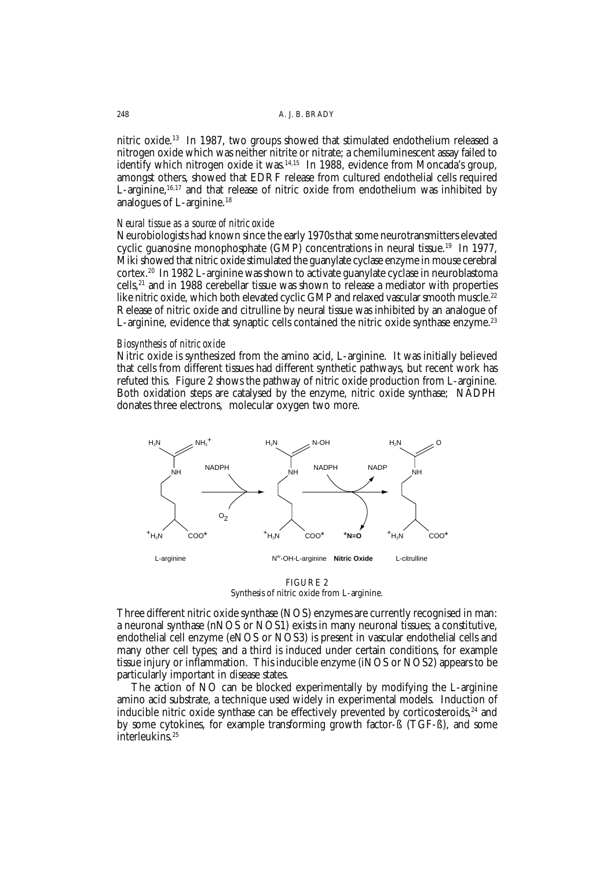#### 248 A. J. B. BRADY

nitric oxide.13 In 1987, two groups showed that stimulated endothelium released a nitrogen oxide which was neither nitrite or nitrate; a chemiluminescent assay failed to identify which nitrogen oxide it was.<sup>14,15</sup> In 1988, evidence from Moncada's group, amongst others, showed that EDRF release from cultured endothelial cells required L-arginine,<sup>16,17</sup> and that release of nitric oxide from endothelium was inhibited by analogues of L-arginine.<sup>18</sup>

## *Neural tissue as a source of nitric oxide*

Neurobiologists had known since the early 1970s that some neurotransmitters elevated cyclic guanosine monophosphate (GMP) concentrations in neural tissue.19 In 1977, Miki showed that nitric oxide stimulated the guanylate cyclase enzyme in mouse cerebral cortex.20 In 1982 L-arginine was shown to activate guanylate cyclase in neuroblastoma cells,<sup>21</sup> and in 1988 cerebellar tissue was shown to release a mediator with properties like nitric oxide, which both elevated cyclic GMP and relaxed vascular smooth muscle.<sup>22</sup> Release of nitric oxide and citrulline by neural tissue was inhibited by an analogue of L-arginine, evidence that synaptic cells contained the nitric oxide synthase enzyme.<sup>23</sup>

## *Biosynthesis of nitric oxide*

Nitric oxide is synthesized from the amino acid, L-arginine. It was initially believed that cells from different tissues had different synthetic pathways, but recent work has refuted this. Figure 2 shows the pathway of nitric oxide production from L-arginine. Both oxidation steps are catalysed by the enzyme, nitric oxide synthase; NADPH donates three electrons, molecular oxygen two more.



FIGURE 2 Synthesis of nitric oxide from L-arginine.

Three different nitric oxide synthase (NOS) enzymes are currently recognised in man: a neuronal synthase (nNOS or NOS1) exists in many neuronal tissues; a constitutive, endothelial cell enzyme (eNOS or NOS3) is present in vascular endothelial cells and many other cell types; and a third is induced under certain conditions, for example tissue injury or inflammation. This inducible enzyme (iNOS or NOS2) appears to be particularly important in disease states.

The action of NO can be blocked experimentally by modifying the L-arginine amino acid substrate, a technique used widely in experimental models. Induction of inducible nitric oxide synthase can be effectively prevented by corticosteroids, $24$  and by some cytokines, for example transforming growth factor-ß (TGF-ß), and some interleukins.<sup>25</sup>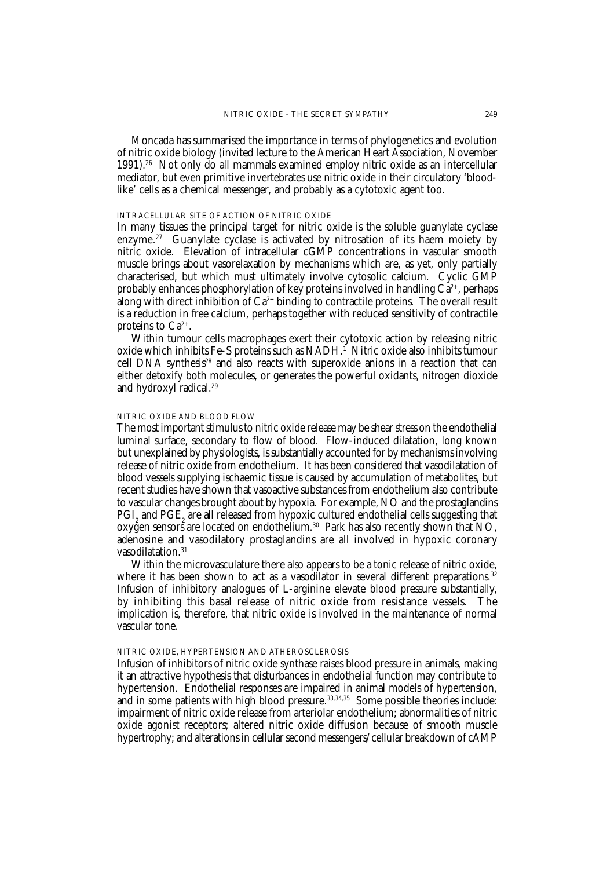Moncada has summarised the importance in terms of phylogenetics and evolution of nitric oxide biology (invited lecture to the American Heart Association, November 1991).26 Not only do all mammals examined employ nitric oxide as an intercellular mediator, but even primitive invertebrates use nitric oxide in their circulatory 'bloodlike' cells as a chemical messenger, and probably as a cytotoxic agent too.

## INTRACELLULAR SITE OF ACTION OF NITRIC OXIDE

In many tissues the principal target for nitric oxide is the soluble guanylate cyclase enzyme.<sup>27</sup> Guanylate cyclase is activated by nitrosation of its haem moiety by nitric oxide. Elevation of intracellular cGMP concentrations in vascular smooth muscle brings about vasorelaxation by mechanisms which are, as yet, only partially characterised, but which must ultimately involve cytosolic calcium. Cyclic GMP probably enhances phosphorylation of key proteins involved in handling  $Ca^{2+}$ , perhaps along with direct inhibition of  $Ca^{2+}$  binding to contractile proteins. The overall result is a reduction in free calcium, perhaps together with reduced sensitivity of contractile proteins to  $Ca^{2+}$ .

Within tumour cells macrophages exert their cytotoxic action by releasing nitric oxide which inhibits Fe-S proteins such as NADH.1 Nitric oxide also inhibits tumour cell DNA synthesis28 and also reacts with superoxide anions in a reaction that can either detoxify both molecules, or generates the powerful oxidants, nitrogen dioxide and hydroxyl radical.<sup>29</sup>

### NITRIC OXIDE AND BLOOD FLOW

The most important stimulus to nitric oxide release may be shear stress on the endothelial luminal surface, secondary to flow of blood. Flow-induced dilatation, long known but unexplained by physiologists, is substantially accounted for by mechanisms involving release of nitric oxide from endothelium. It has been considered that vasodilatation of blood vessels supplying ischaemic tissue is caused by accumulation of metabolites, but recent studies have shown that vasoactive substances from endothelium also contribute to vascular changes brought about by hypoxia. For example, NO and the prostaglandins  $\mathrm{PGI}_{_2}$  and  $\mathrm{PGE}_{_2}$  are all released from hypoxic cultured endothelial cells suggesting that oxygen sensors are located on endothelium.30 Park has also recently shown that NO, adenosine and vasodilatory prostaglandins are all involved in hypoxic coronary vasodilatation.<sup>31</sup>

Within the microvasculature there also appears to be a tonic release of nitric oxide, where it has been shown to act as a vasodilator in several different preparations.<sup>32</sup> Infusion of inhibitory analogues of L-arginine elevate blood pressure substantially, by inhibiting this basal release of nitric oxide from resistance vessels. The implication is, therefore, that nitric oxide is involved in the maintenance of normal vascular tone.

### NITRIC OXIDE, HYPERTENSION AND ATHEROSCLEROSIS

Infusion of inhibitors of nitric oxide synthase raises blood pressure in animals, making it an attractive hypothesis that disturbances in endothelial function may contribute to hypertension. Endothelial responses are impaired in animal models of hypertension, and in some patients with high blood pressure.<sup>33,34,35</sup> Some possible theories include: impairment of nitric oxide release from arteriolar endothelium; abnormalities of nitric oxide agonist receptors; altered nitric oxide diffusion because of smooth muscle hypertrophy; and alterations in cellular second messengers/cellular breakdown of cAMP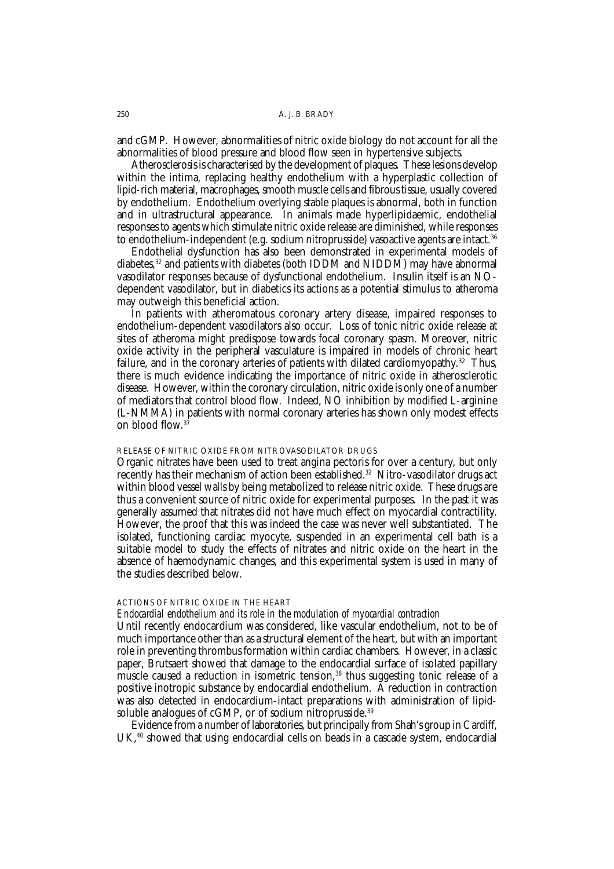and cGMP. However, abnormalities of nitric oxide biology do not account for all the abnormalities of blood pressure and blood flow seen in hypertensive subjects.

Atherosclerosis is characterised by the development of plaques. These lesions develop within the intima, replacing healthy endothelium with a hyperplastic collection of lipid-rich material, macrophages, smooth muscle cells and fibrous tissue, usually covered by endothelium. Endothelium overlying stable plaques is abnormal, both in function and in ultrastructural appearance. In animals made hyperlipidaemic, endothelial responses to agents which stimulate nitric oxide release are diminished, while responses to endothelium-independent (e.g. sodium nitroprusside) vasoactive agents are intact. $36$ 

Endothelial dysfunction has also been demonstrated in experimental models of diabetes,<sup>32</sup> and patients with diabetes (both IDDM and NIDDM) may have abnormal vasodilator responses because of dysfunctional endothelium. Insulin itself is an NOdependent vasodilator, but in diabetics its actions as a potential stimulus to atheroma may outweigh this beneficial action.

In patients with atheromatous coronary artery disease, impaired responses to endothelium-dependent vasodilators also occur. Loss of tonic nitric oxide release at sites of atheroma might predispose towards focal coronary spasm. Moreover, nitric oxide activity in the peripheral vasculature is impaired in models of chronic heart failure, and in the coronary arteries of patients with dilated cardiomyopathy.<sup>32</sup> Thus, there is much evidence indicating the importance of nitric oxide in atherosclerotic disease. However, within the coronary circulation, nitric oxide is only one of a number of mediators that control blood flow. Indeed, NO inhibition by modified L-arginine (L-NMMA) in patients with normal coronary arteries has shown only modest effects on blood flow.37

## RELEASE OF NITRIC OXIDE FROM NITROVASODILATOR DRUGS

Organic nitrates have been used to treat angina pectoris for over a century, but only recently has their mechanism of action been established.32 Nitro-vasodilator drugs act within blood vessel walls by being metabolized to release nitric oxide. These drugs are thus a convenient source of nitric oxide for experimental purposes. In the past it was generally assumed that nitrates did not have much effect on myocardial contractility. However, the proof that this was indeed the case was never well substantiated. The isolated, functioning cardiac myocyte, suspended in an experimental cell bath is a suitable model to study the effects of nitrates and nitric oxide on the heart in the absence of haemodynamic changes, and this experimental system is used in many of the studies described below.

#### ACTIONS OF NITRIC OXIDE IN THE HEART

## *Endocardial endothelium and its role in the modulation of myocardial contraction*

Until recently endocardium was considered, like vascular endothelium, not to be of much importance other than as a structural element of the heart, but with an important role in preventing thrombus formation within cardiac chambers. However, in a classic paper, Brutsaert showed that damage to the endocardial surface of isolated papillary muscle caused a reduction in isometric tension,<sup>38</sup> thus suggesting tonic release of a positive inotropic substance by endocardial endothelium. A reduction in contraction was also detected in endocardium-intact preparations with administration of lipidsoluble analogues of cGMP, or of sodium nitroprusside.<sup>39</sup>

Evidence from a number of laboratories, but principally from Shah's group in Cardiff, UK,<sup>40</sup> showed that using endocardial cells on beads in a cascade system, endocardial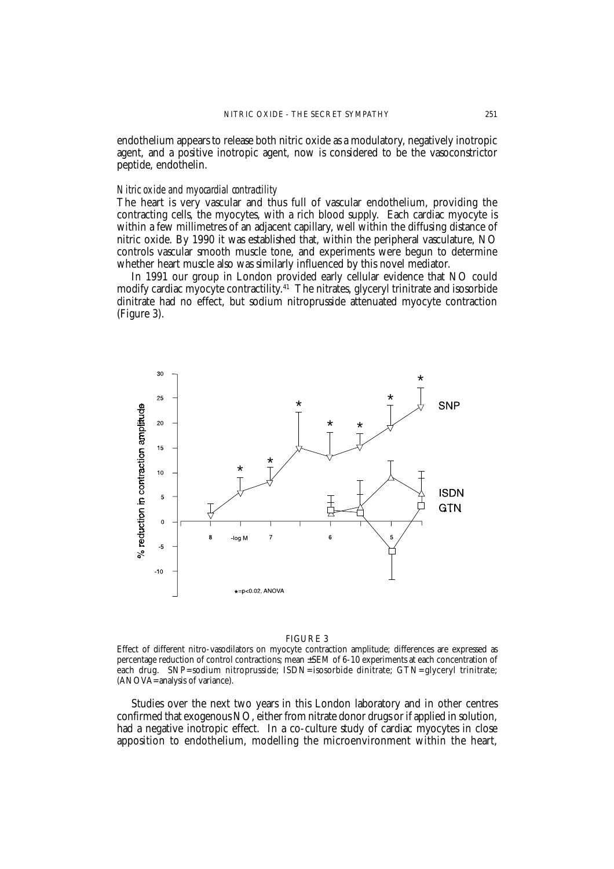endothelium appears to release both nitric oxide as a modulatory, negatively inotropic agent, and a positive inotropic agent, now is considered to be the vasoconstrictor peptide, endothelin.

### *Nitric oxide and myocardial contractility*

The heart is very vascular and thus full of vascular endothelium, providing the contracting cells, the myocytes, with a rich blood supply. Each cardiac myocyte is within a few millimetres of an adjacent capillary, well within the diffusing distance of nitric oxide. By 1990 it was established that, within the peripheral vasculature, NO controls vascular smooth muscle tone, and experiments were begun to determine whether heart muscle also was similarly influenced by this novel mediator.

In 1991 our group in London provided early cellular evidence that NO could modify cardiac myocyte contractility.<sup>41</sup> The nitrates, glyceryl trinitrate and isosorbide dinitrate had no effect, but sodium nitroprusside attenuated myocyte contraction (Figure 3).



#### FIGURE 3

Effect of different nitro-vasodilators on myocyte contraction amplitude; differences are expressed as percentage reduction of control contractions; mean ±SEM of 6-10 experiments at each concentration of each drug. SNP=sodium nitroprusside; ISDN=isosorbide dinitrate; GTN=glyceryl trinitrate; (ANOVA=analysis of variance).

Studies over the next two years in this London laboratory and in other centres confirmed that exogenous NO, either from nitrate donor drugs or if applied in solution, had a negative inotropic effect. In a co-culture study of cardiac myocytes in close apposition to endothelium, modelling the microenvironment within the heart,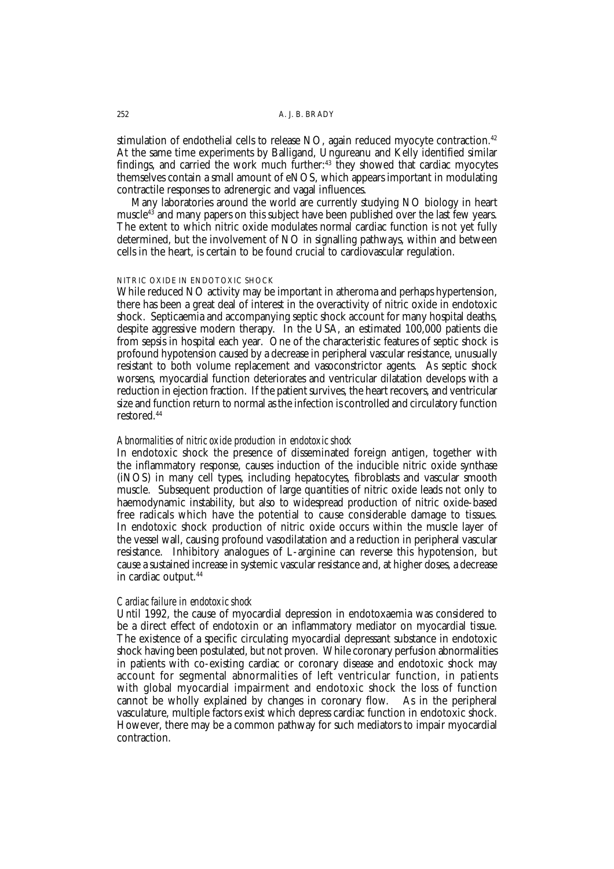stimulation of endothelial cells to release NO, again reduced myocyte contraction.<sup>42</sup> At the same time experiments by Balligand, Ungureanu and Kelly identified similar findings, and carried the work much further:<sup>43</sup> they showed that cardiac myocytes themselves contain a small amount of eNOS, which appears important in modulating contractile responses to adrenergic and vagal influences.

Many laboratories around the world are currently studying NO biology in heart muscle<sup>43</sup> and many papers on this subject have been published over the last few years. The extent to which nitric oxide modulates normal cardiac function is not yet fully determined, but the involvement of NO in signalling pathways, within and between cells in the heart, is certain to be found crucial to cardiovascular regulation.

## NITRIC OXIDE IN ENDOTOXIC SHOCK

While reduced NO activity may be important in atheroma and perhaps hypertension, there has been a great deal of interest in the overactivity of nitric oxide in endotoxic shock. Septicaemia and accompanying septic shock account for many hospital deaths, despite aggressive modern therapy. In the USA, an estimated 100,000 patients die from sepsis in hospital each year. One of the characteristic features of septic shock is profound hypotension caused by a decrease in peripheral vascular resistance, unusually resistant to both volume replacement and vasoconstrictor agents. As septic shock worsens, myocardial function deteriorates and ventricular dilatation develops with a reduction in ejection fraction. If the patient survives, the heart recovers, and ventricular size and function return to normal as the infection is controlled and circulatory function restored.44

## *Abnormalities of nitric oxide production in endotoxic shock*

In endotoxic shock the presence of disseminated foreign antigen, together with the inflammatory response, causes induction of the inducible nitric oxide synthase (iNOS) in many cell types, including hepatocytes, fibroblasts and vascular smooth muscle. Subsequent production of large quantities of nitric oxide leads not only to haemodynamic instability, but also to widespread production of nitric oxide-based free radicals which have the potential to cause considerable damage to tissues. In endotoxic shock production of nitric oxide occurs within the muscle layer of the vessel wall, causing profound vasodilatation and a reduction in peripheral vascular resistance. Inhibitory analogues of L-arginine can reverse this hypotension, but cause a sustained increase in systemic vascular resistance and, at higher doses, a decrease in cardiac output.<sup>44</sup>

## *Cardiac failure in endotoxic shock*

Until 1992, the cause of myocardial depression in endotoxaemia was considered to be a direct effect of endotoxin or an inflammatory mediator on myocardial tissue. The existence of a specific circulating myocardial depressant substance in endotoxic shock having been postulated, but not proven. While coronary perfusion abnormalities in patients with co-existing cardiac or coronary disease and endotoxic shock may account for segmental abnormalities of left ventricular function, in patients with global myocardial impairment and endotoxic shock the loss of function cannot be wholly explained by changes in coronary flow. As in the peripheral vasculature, multiple factors exist which depress cardiac function in endotoxic shock. However, there may be a common pathway for such mediators to impair myocardial contraction.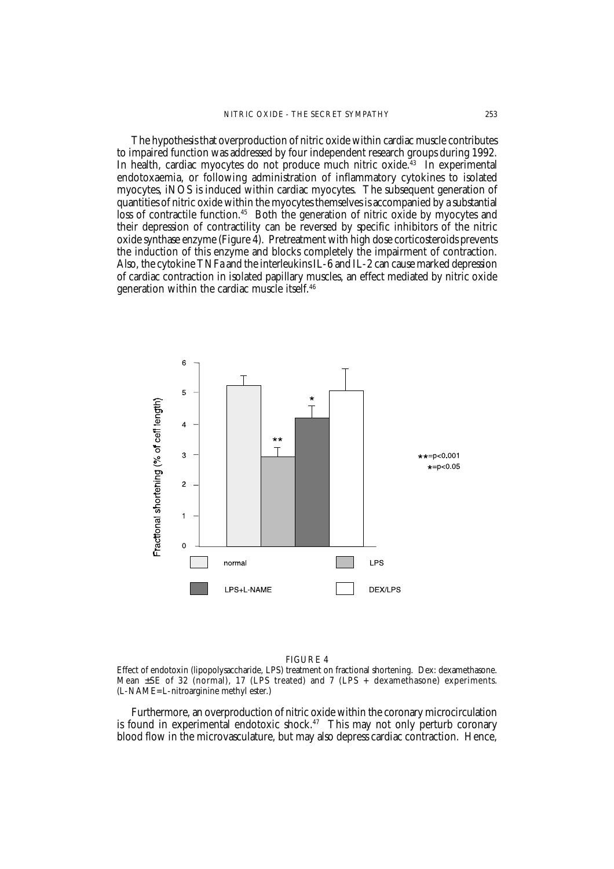The hypothesis that overproduction of nitric oxide within cardiac muscle contributes to impaired function was addressed by four independent research groups during 1992. In health, cardiac myocytes do not produce much nitric oxide.<sup>43</sup> In experimental endotoxaemia, or following administration of inflammatory cytokines to isolated myocytes, iNOS is induced within cardiac myocytes. The subsequent generation of quantities of nitric oxide within the myocytes themselves is accompanied by a substantial loss of contractile function.<sup>45</sup> Both the generation of nitric oxide by myocytes and their depression of contractility can be reversed by specific inhibitors of the nitric oxide synthase enzyme (Figure 4). Pretreatment with high dose corticosteroids prevents the induction of this enzyme and blocks completely the impairment of contraction. Also, the cytokine TNFa and the interleukins IL-6 and IL-2 can cause marked depression of cardiac contraction in isolated papillary muscles, an effect mediated by nitric oxide generation within the cardiac muscle itself.46



#### FIGURE 4

Effect of endotoxin (lipopolysaccharide, LPS) treatment on fractional shortening. Dex: dexamethasone. Mean ±SE of 32 (normal), 17 (LPS treated) and 7 (LPS + dexamethasone) experiments. (L-NAME=L-nitroarginine methyl ester.)

Furthermore, an overproduction of nitric oxide within the coronary microcirculation is found in experimental endotoxic shock. $47$  This may not only perturb coronary blood flow in the microvasculature, but may also depress cardiac contraction. Hence,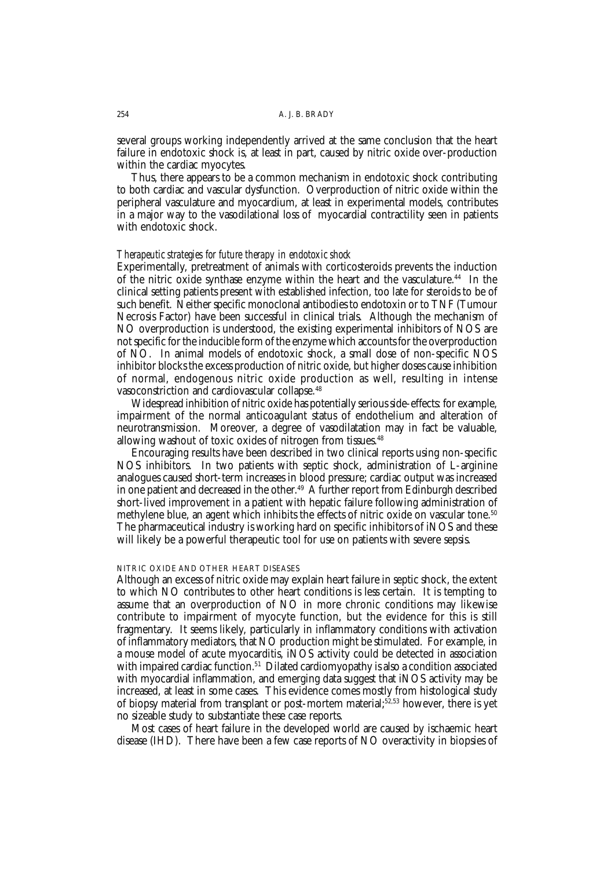several groups working independently arrived at the same conclusion that the heart failure in endotoxic shock is, at least in part, caused by nitric oxide over-production within the cardiac myocytes.

Thus, there appears to be a common mechanism in endotoxic shock contributing to both cardiac and vascular dysfunction. Overproduction of nitric oxide within the peripheral vasculature and myocardium, at least in experimental models, contributes in a major way to the vasodilational loss of myocardial contractility seen in patients with endotoxic shock.

## *Therapeutic strategies for future therapy in endotoxic shock*

Experimentally, pretreatment of animals with corticosteroids prevents the induction of the nitric oxide synthase enzyme within the heart and the vasculature.<sup>44</sup> In the clinical setting patients present with established infection, too late for steroids to be of such benefit. Neither specific monoclonal antibodies to endotoxin or to TNF (Tumour Necrosis Factor) have been successful in clinical trials. Although the mechanism of NO overproduction is understood, the existing experimental inhibitors of NOS are not specific for the inducible form of the enzyme which accounts for the overproduction of NO. In animal models of endotoxic shock, a small dose of non-specific NOS inhibitor blocks the excess production of nitric oxide, but higher doses cause inhibition of normal, endogenous nitric oxide production as well, resulting in intense vasoconstriction and cardiovascular collapse.48

Widespread inhibition of nitric oxide has potentially serious side-effects: for example, impairment of the normal anticoagulant status of endothelium and alteration of neurotransmission. Moreover, a degree of vasodilatation may in fact be valuable, allowing washout of toxic oxides of nitrogen from tissues.<sup>48</sup>

Encouraging results have been described in two clinical reports using non-specific NOS inhibitors. In two patients with septic shock, administration of L-arginine analogues caused short-term increases in blood pressure; cardiac output was increased in one patient and decreased in the other.<sup>49</sup> A further report from Edinburgh described short-lived improvement in a patient with hepatic failure following administration of methylene blue, an agent which inhibits the effects of nitric oxide on vascular tone.<sup>50</sup> The pharmaceutical industry is working hard on specific inhibitors of iNOS and these will likely be a powerful therapeutic tool for use on patients with severe sepsis.

### NITRIC OXIDE AND OTHER HEART DISEASES

Although an excess of nitric oxide may explain heart failure in septic shock, the extent to which NO contributes to other heart conditions is less certain. It is tempting to assume that an overproduction of NO in more chronic conditions may likewise contribute to impairment of myocyte function, but the evidence for this is still fragmentary. It seems likely, particularly in inflammatory conditions with activation of inflammatory mediators, that NO production might be stimulated. For example, in a mouse model of acute myocarditis, iNOS activity could be detected in association with impaired cardiac function.<sup>51</sup> Dilated cardiomyopathy is also a condition associated with myocardial inflammation, and emerging data suggest that iNOS activity may be increased, at least in some cases. This evidence comes mostly from histological study of biopsy material from transplant or post-mortem material; $52,53$  however, there is yet no sizeable study to substantiate these case reports.

Most cases of heart failure in the developed world are caused by ischaemic heart disease (IHD). There have been a few case reports of NO overactivity in biopsies of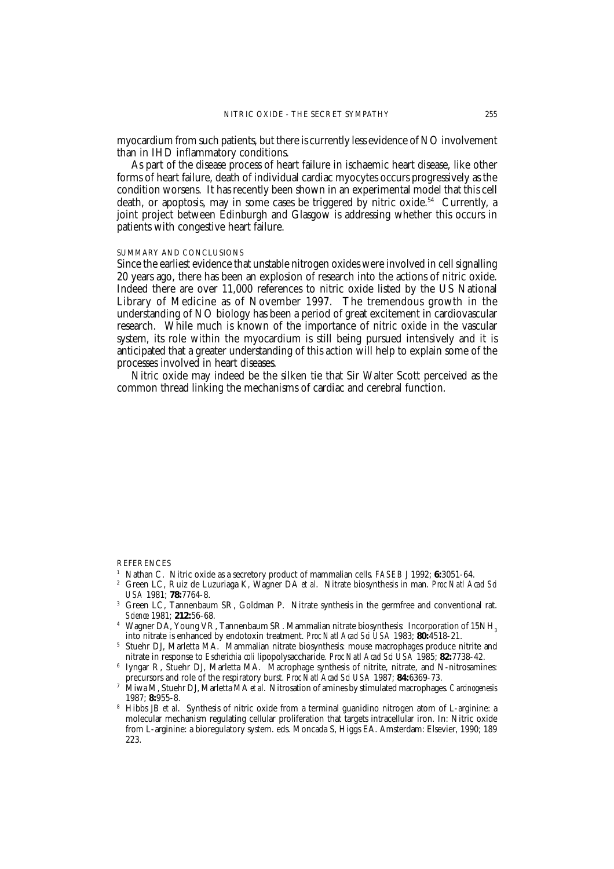myocardium from such patients, but there is currently less evidence of NO involvement than in IHD inflammatory conditions.

As part of the disease process of heart failure in ischaemic heart disease, like other forms of heart failure, death of individual cardiac myocytes occurs progressively as the condition worsens. It has recently been shown in an experimental model that this cell death, or apoptosis, may in some cases be triggered by nitric oxide.<sup>54</sup> Currently, a joint project between Edinburgh and Glasgow is addressing whether this occurs in patients with congestive heart failure.

## SUMMARY AND CONCLUSIONS

Since the earliest evidence that unstable nitrogen oxides were involved in cell signalling 20 years ago, there has been an explosion of research into the actions of nitric oxide. Indeed there are over 11,000 references to nitric oxide listed by the US National Library of Medicine as of November 1997. The tremendous growth in the understanding of NO biology has been a period of great excitement in cardiovascular research. While much is known of the importance of nitric oxide in the vascular system, its role within the myocardium is still being pursued intensively and it is anticipated that a greater understanding of this action will help to explain some of the processes involved in heart diseases.

Nitric oxide may indeed be the silken tie that Sir Walter Scott perceived as the common thread linking the mechanisms of cardiac and cerebral function.

**REFERENCES** 

- <sup>1</sup> Nathan C. Nitric oxide as a secretory product of mammalian cells. *FASEB J* 1992; **6:**3051-64.
- <sup>2</sup> Green LC, Ruiz de Luzuriaga K, Wagner DA *et al*. Nitrate biosynthesis in man. *Proc Natl Acad Sci USA* 1981; **78:**7764-8.
- <sup>3</sup> Green LC, Tannenbaum SR, Goldman P. Nitrate synthesis in the germfree and conventional rat. *Science* 1981; **212:**56-68.
- Wagner DA, Young VR, Tannenbaum SR. Mammalian nitrate biosynthesis: Incorporation of 15NH<sub>3</sub> into nitrate is enhanced by endotoxin treatment. *Proc Natl Acad Sci USA* 1983; **80:**4518-21.
- <sup>5</sup> Stuehr DJ, Marletta MA. Mammalian nitrate biosynthesis: mouse macrophages produce nitrite and nitrate in response to *Escherichia coli* lipopolysaccharide. *Proc Natl Acad Sci USA* 1985; **82:**7738-42.
- <sup>6</sup> Iyngar R, Stuehr DJ, Marletta MA. Macrophage synthesis of nitrite, nitrate, and N-nitrosamines: precursors and role of the respiratory burst. *Proc Natl Acad Sci USA* 1987; **84:**6369-73.
- <sup>7</sup> Miwa M, Stuehr DJ, Marletta MA *et al*. Nitrosation of amines by stimulated macrophages. *Carcinogenesis* 1987; **8:**955-8.
- <sup>8</sup> Hibbs JB *et al*. Synthesis of nitric oxide from a terminal guanidino nitrogen atom of L-arginine: a molecular mechanism regulating cellular proliferation that targets intracellular iron. In: Nitric oxide from L-arginine: a bioregulatory system. eds. Moncada S, Higgs EA. Amsterdam: Elsevier, 1990; 189 223.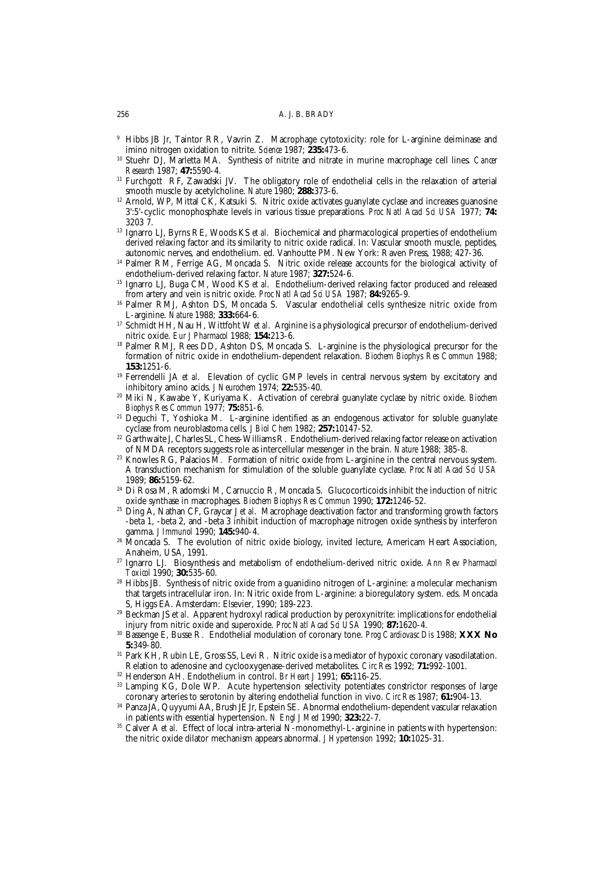#### 256 A. J. B. BRADY

- <sup>9</sup> Hibbs JB Jr, Taintor RR, Vavrin Z. Macrophage cytotoxicity: role for L-arginine deiminase and imino nitrogen oxidation to nitrite. *Science* 1987; **235:**473-6.
- <sup>10</sup> Stuehr DJ, Marletta MA. Synthesis of nitrite and nitrate in murine macrophage cell lines. *Cancer Research* 1987; **47:**5590-4.
- Furchgott RF, Zawadski JV. The obligatory role of endothelial cells in the relaxation of arterial smooth muscle by acetylcholine. *Nature* 1980; **288:**373-6.
- <sup>12</sup> Arnold, WP, Mittal CK, Katsuki S. Nitric oxide activates guanylate cyclase and increases guanosine 3':5'-cyclic monophosphate levels in various tissue preparations. *Proc Natl Acad Sci USA* 1977; **74:** 3203 7.
- <sup>13</sup> Ignarro LJ, Byrns RE, Woods KS et al. Biochemical and pharmacological properties of endothelium derived relaxing factor and its similarity to nitric oxide radical. In: Vascular smooth muscle, peptides, autonomic nerves, and endothelium. ed. Vanhoutte PM. New York: Raven Press, 1988; 427-36.
- <sup>14</sup> Palmer RM, Ferrige AG, Moncada S. Nitric oxide release accounts for the biological activity of endothelium-derived relaxing factor. *Nature* 1987; **327:**524-6.
- <sup>15</sup> Ignarro LJ, Buga CM, Wood KS *et al*. Endothelium-derived relaxing factor produced and released from artery and vein is nitric oxide. *Proc Natl Acad Sci USA* 1987; **84:**9265-9.
- <sup>16</sup> Palmer RMJ, Ashton DS, Moncada S. Vascular endothelial cells synthesize nitric oxide from L-arginine. *Nature* 1988; **333:**664-6.
- <sup>17</sup> Schmidt HH, Nau H, Wittfoht W et al. Arginine is a physiological precursor of endothelium-derived nitric oxide. *Eur J Pharmacol* 1988; **154:**213-6.
- <sup>18</sup> Palmer RMJ, Rees DD, Ashton DS, Moncada S. L-arginine is the physiological precursor for the formation of nitric oxide in endothelium-dependent relaxation. *Biochem Biophys Res Commun* 1988; **153:**1251-6.
- <sup>19</sup> Ferrendelli JA *et al*. Elevation of cyclic GMP levels in central nervous system by excitatory and inhibitory amino acids. *J Neurochem* 1974; **22:**535-40.
- <sup>20</sup> Miki N, Kawabe Y, Kuriyama K. Activation of cerebral guanylate cyclase by nitric oxide. *Biochem Biophys Res Commun* 1977; **75:**851-6.
- <sup>21</sup> Deguchi T, Yoshioka M. L-arginine identified as an endogenous activator for soluble guanylate cyclase from neuroblastoma cells. *J Biol Chem* 1982; **257:**10147-52.
- <sup>22</sup> Garthwaite J, Charles SL, Chess-Williams R. Endothelium-derived relaxing factor release on activation of NMDA receptors suggests role as intercellular messenger in the brain. *Nature* 1988; 385-8.
- <sup>23</sup> Knowles RG, Palacios M. Formation of nitric oxide from L-arginine in the central nervous system. A transduction mechanism for stimulation of the soluble guanylate cyclase. *Proc Natl Acad Sci USA* 1989; **86:**5159-62.
- <sup>24</sup> Di Rosa M, Radomski M, Carnuccio R, Moncada S. Glucocorticoids inhibit the induction of nitric oxide synthase in macrophages. *Biochem Biophys Res Commun* 1990; **172:**1246-52.
- <sup>25</sup> Ding A, Nathan CF, Graycar J *et al*. Macrophage deactivation factor and transforming growth factors -beta 1, -beta 2, and -beta 3 inhibit induction of macrophage nitrogen oxide synthesis by interferon gamma. *J Immunol* 1990; **145:**940-4.
- <sup>26</sup> Moncada S. The evolution of nitric oxide biology, invited lecture, Americam Heart Association, Anaheim, USA, 1991.
- <sup>27</sup> Ignarro LJ. Biosynthesis and metabolism of endothelium-derived nitric oxide. *Ann Rev Pharmacol Toxicol* 1990; **30:**535-60.
- <sup>28</sup> Hibbs JB. Synthesis of nitric oxide from a guanidino nitrogen of L-arginine: a molecular mechanism that targets intracellular iron. In: Nitric oxide from L-arginine: a bioregulatory system. eds. Moncada S, Higgs EA. Amsterdam: Elsevier, 1990; 189-223.
- <sup>29</sup> Beckman JS e*t al*. Apparent hydroxyl radical production by peroxynitrite: implications for endothelial injury from nitric oxide and superoxide. *Proc Natl Acad Sci USA* 1990; **87:**1620-4.
- <sup>30</sup> Bassenge E, Busse R. Endothelial modulation of coronary tone. *Prog Cardiovasc Dis* 1988; **XXX No 5:**349-80.
- <sup>31</sup> Park KH, Rubin LE, Gross SS, Levi R. Nitric oxide is a mediator of hypoxic coronary vasodilatation. Relation to adenosine and cyclooxygenase-derived metabolites. *Circ Res* 1992; **71:**992-1001.
- <sup>32</sup> Henderson AH. Endothelium in control. *Br Heart J* 1991; **65:**116-25.
- <sup>33</sup> Lamping KG, Dole WP. Acute hypertension selectivity potentiates constrictor responses of large coronary arteries to serotonin by altering endothelial function in vivo. *Circ Res* 1987; **61:**904-13.
- <sup>34</sup> Panza JA, Quyyumi AA, Brush JE Jr, Epstein SE. Abnormal endothelium-dependent vascular relaxation in patients with essential hypertension. *N Engl J Med* 1990; **323:**22-7.
- <sup>35</sup> Calver A *et al.* Effect of local intra-arterial N-monomethyl-L-arginine in patients with hypertension: the nitric oxide dilator mechanism appears abnormal. *J Hypertension* 1992; **10:**1025-31.